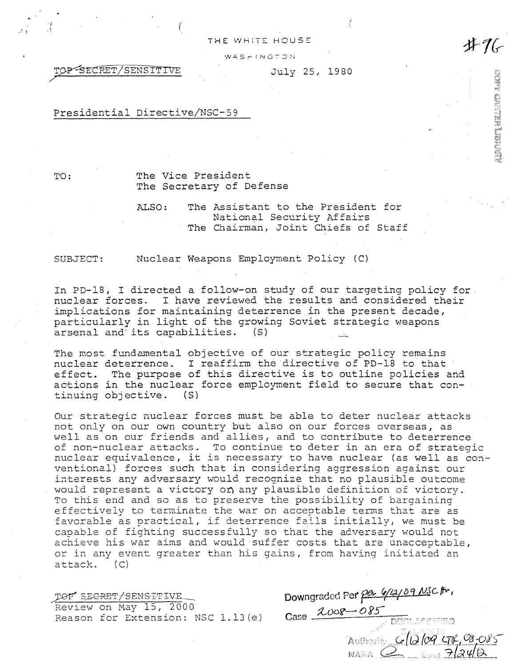THE WHITE HOUSE  $WAS H IN G TO N.$ 

TOP SECRET/SENSITIVE July 25, 1980

.  $\mathcal{L}$  (b) the contract of the contract of the contract of the contract of the contract of the contract of the contract of the contract of the contract of the contract of the contract of the contract of the contract o

Presidential Directive/NSC-59

TO:

 $\cdot$   $\cdot$   $\cdot$ 

·( *.* 

The Vice President The Secretary of Defense

ALSO: The Assistant to the President for National Security Affairs The Chairman, Joint Chiefs of Staff

SUBJECT:

Nuclear Weapons Employment Policy (C)

In PD-18, I directed a follow-on study of our targeting policy for. nuclear forces. I have reviewed the results and considered their implications for maintaining deterrence in the present decade, particularly in light of the growing Soviet strategic weapons<br>arsenal and its capabilities. (S) arsenal and its capabilities.

The most fundamental objective of our strategic policy remains nuclear deterrence. I reaffirm the directive of PD-18 to that effect. The purpose of this directive is to outline policies and actions *in* the nuclear force employment field to secure that continuing objective. (S)

Our strategic nuclear forces must be able to deter nuclear attacks not only on our own country but also on our forces overseas, as well as on our friends and allies, and to contribute to deterrence of non-nuclear attacks. To continue to deter in an era of strategic nuclear equivalence, it is necessary to have nuclear (as well as conventional) forces such that in considering aggression against our interests any adversary would recognize that no plausible outcome would represent a victory on any plausible definition of victory. To this end and so as to preserve the possibility of bargaining effectively to terminate the war on acceptable terms that are as favorable as practical, if deterrence fails initially, we must be capable of fighting successfully so that the adversary would not achieve his war aims and would suffer costs that are unacceptable, or in any event greater than his gains, from having initiated an attack. (C)

TOP SECRET/SENSITIVE Review on May 15, 2000 Reason for Extension: NSC 1.13(e) Downgraded Per per 6/12/09 NSC Itr,  $2008 - 085$ Authoriz  $G(12109998085)$ 

**#1** 

**UNG HELING**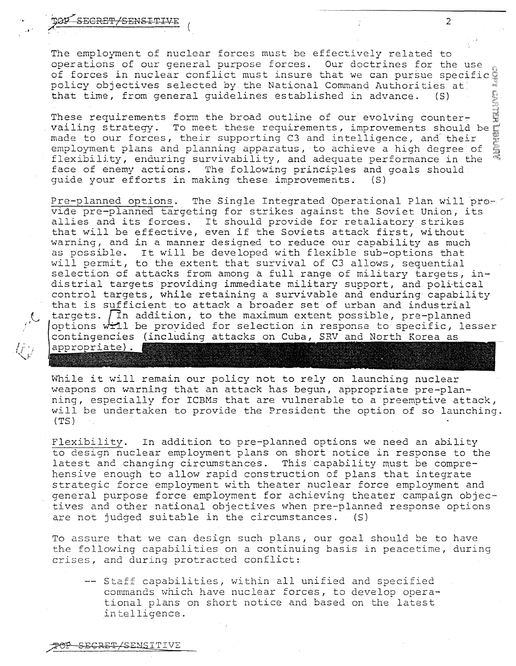SECRET/SENSITIVE

...

,C.

The employment of nuclear forces must be effectively related to operations of our general purpose forces. Our doctrines for the use of forces in nuclear conflict must insure that we can pursue specific policy objectives selected by the National Command Authorities at policy objectives selected by the National Command Authorities at<br>that time, from general guidelines established in advance. (S)

2

These requirements form the broad outline of our evolving counter~ vailing strategy. To meet these requirements, improvements should be made to our forces, their supporting C3 and intelligence, and their employment plans and planning apparatus, to achieve a high degree of flexibility, enduring survivability, and adequate performance in the face of enemy actions. The following principles and goals should quide your efforts in making these improvements. (S) guide your efforts in making these improvements.

Pre-planned options. The Single Integrated Operational Plan will pro- $\degree$ vide pre-planned targeting for strikes against the Soviet Union, its allies and its forces. It should provide for retaliatory strikes that will be effective, even if the Soviets attack first, without warning, and in a manner designed to reduce our capability as much as possible. It will be developed with flexible sub-options that will permit, to the extent that survival of C3 allows, sequential selection of attacks from among a full range of military targets, indistrial targets providing immediate military support, and political control targets, while retaining a survivable and enduring capability that is sufficient to attack a broader set of urban and industrial targets.  $\sqrt{1}n$  addition, to the maximum extent possible, pre-planned options will be provided for selection in response to specific, lesser contingencies (including attacks on Cuba, SRV and North Korea as appropriate).

While it will remain our policy not to rely on launching nuclear weapons on warning that an attack has begun, appropriate pre-planning, especially for ICBMs that are vulnerable to a preemptive attack, will be undertaken to provide the President the option of so launching. (TS)

Flexibility. In addition to pre-planned options we need an ability to design nuclear employment plans on short notice in response to the latest and changing circumstances. This capability must be comprehensive enough to allow rapid construction of plans that integrate strategic force employment with theater nuclear force employment and general purpose force employment for achieving theater campaign objectives and other national objectives \vhen pre-planned response options are not judged suitable in the circumstances. (S)

To assure that we can design such plans, our goal should be to have the following capabilities on a continuing basis in peacetime, during crises, and during protracted conflict:

-- Staff capabilities, within all unified and specified commands which have nuclear forces, to develop operational plans on short notice and based on the latest intelligence.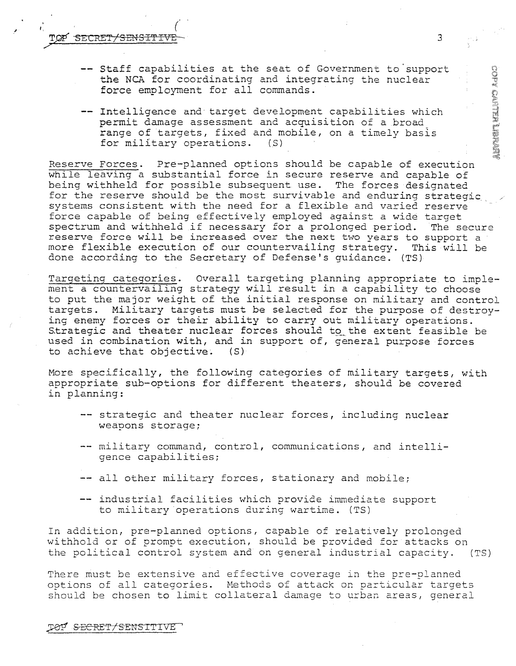TOP SECRET/SENSITIVE

 $I_{\rm c}$  and the contract of the contract of the contract of the contract of the contract of the contract of the contract of the contract of the contract of the contract of the contract of the contract of the contract of

- -- Staff capabilities at the seat of Government to support the NCA for coordinating and integrating the nuclear force employment for all commands.
- -- Intelligence and target development capabilities which permit damage assessment and acquisition of a broad range of targets, fixed and mobile, on a timely basis<br>for military operations. (S) for military operations.

Reserve Forces. Pre-planned options should be capable of execution while leaving a substantial force in secure reserve and capable of being withheld for possible subsequent use. The forces designated for the reserve should be the most survivable and enduring strategic systems consistent with the need for a flexible and varied reserve force capable of being effectively employed against a wide target spectrum and withheld if necessary for a prolonged period. The secure reserve force will be increased over the next two years to support a<br>more flexible execution of our countervailing strategy. This will be more flexible execution of our countervailing strategy. done according to the Secretary of Defense's guidance. (TS)

Targeting categories. Overall targeting planning appropriate to implement a countervailing strategy will result in a capability to choose to put the major weight of the initial response on military and control targets. Military targets must be selected for the purpose of destroying enemy forces or their ability to carry out military operations. Strategic and theater nuclear forces should to the extent feasible be used in combination with, and in support of, general purpose forces to achieve that objective. (S) to achieve that objective.

More specifically, the following categories of military targets, with appropriate sub-options for different theaters, should be covered in planning:

- -- strategic and theater nuclear forces, including nuclear weapons storage;
- -- military command, control, communications, and intelligence capabilities;
- -- all other military forces, stationary and mobile;
- -- industrial facilities which provide immediate support to military operations during wartime. (TS)

In addition, pre-planned options, capable of relatively prolonged withhold or of prompt execution, should be provided for attacks on the political control system and on general industrial capacity. (TS)

There must be extensive and effective coverage in the pre-planned options of all categories. Methods of attack on particular targets should be chosen to limit collateral damage to urban areas, general **ABOUT HELMO ACCO**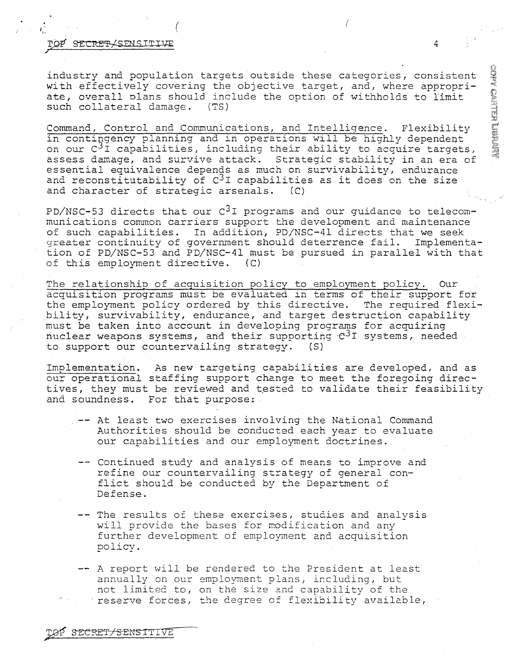## l'OP'SECRET/SENSITIVE 4

/

industry and population targets outside these categories, consistent with effectively covering the objective target, and, where appropriate, overall plans should include the option of withholds to limit such collateral damage. (TS) such collateral damage.

 $I_{\rm in}$  , and the set of the set of the set of the set of the set of the set of the set of the set of the set of the set of the set of the set of the set of the set of the set of the set of the set of the set of the set

Command, Control and Communications, and Intelligence. Flexibility in contingency planning and in operations will be highly dependent on our  $C^{3}I$  capabilities, including their ability to acquire targets, assess damage, and survive attack. Strategic stability in an era of essential equivalence depends as much on survivability, endurance and reconstitutability of  $C^3I$  capabilities as it does on the size and character of strategic arsenals.  $(C)$ and character of strategic arsenals.

PD/NSC-53 directs that our  $C<sup>3</sup>I$  programs and our guidance to telecommunications common carriers support the development and maintenance of such capabilities. In addition, PD/NSC-41 directs that we seek greater continuity of government should deterrence fail. Implementation of PD/NSC-53 and PD/NSC-41 must be pursued in parallel with that of this employment directive. (C)

The relationship of acquisition policy to employment policy. Our acquisition programs must be evaluated in terms of their support for the employment policy ordered by this directive. The required flexibility, survivability, endurance, and target destruction capability must be taken into account in developing programs for acquiring nuclear weapons systems, and their supporting  $C^{3}$  systems, needed to support our countervailing strategy. (S)

Implementation. As new targeting capabilities are developed, and as our operational staffing support change to meet the foregoing directives, they must be reviewed and tested to validate their feasibility and soundness. For that purpose:

- At least two exercises involving the National Command Authorities should be conducted each year to evaluate our capabilities and our employment doctrines.
- -- Continued study and analysis of means to improve and refine our countervailing strategy of general conflict should be conducted by the Department of Defense.
- -- The results of these exercises, studies and analysis will provide the bases for modification and any further development of employment and acquisition policy.

A report will be rendered to the President at least annually on our employment plans, including, but not limited to, on the size and capability of the ·reserve forces, the degree of flexibility available,

**ADIONAL MELLION ACCO**